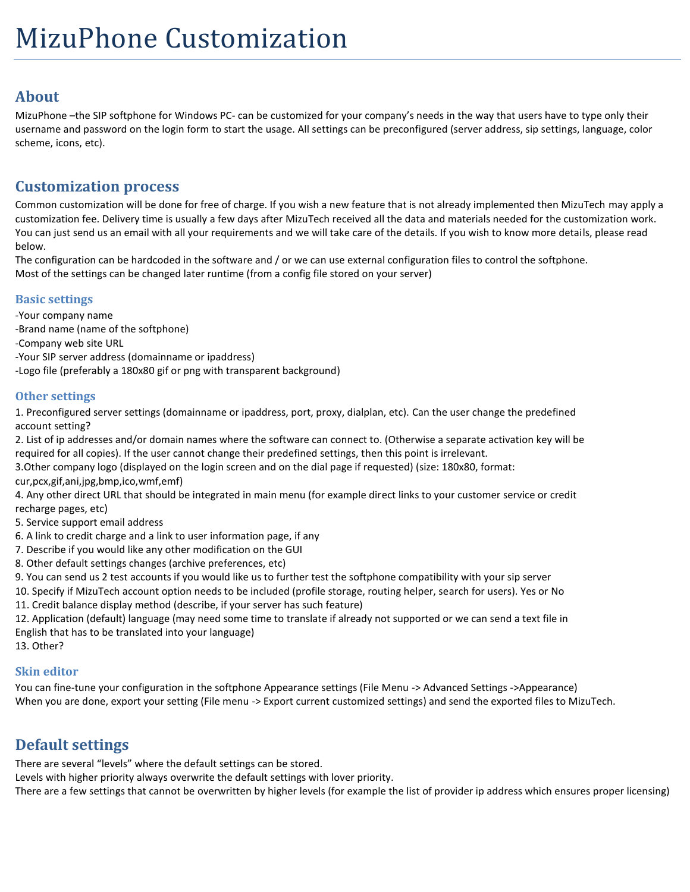# **About**

MizuPhone –the SIP softphone for Windows PC- can be customized for your company's needs in the way that users have to type only their username and password on the login form to start the usage. All settings can be preconfigured (server address, sip settings, language, color scheme, icons, etc).

# **Customization process**

Common customization will be done for free of charge. If you wish a new feature that is not already implemented then MizuTech may apply a customization fee. Delivery time is usually a few days after MizuTech received all the data and materials needed for the customization work. You can just send us an email with all your requirements and we will take care of the details. If you wish to know more details, please read below.

The configuration can be hardcoded in the software and / or we can use external configuration files to control the softphone. Most of the settings can be changed later runtime (from a config file stored on your server)

# **Basic settings**

-Your company name

- -Brand name (name of the softphone)
- -Company web site URL
- -Your SIP server address (domainname or ipaddress)
- -Logo file (preferably a 180x80 gif or png with transparent background)

# **Other settings**

1. Preconfigured server settings (domainname or ipaddress, port, proxy, dialplan, etc). Can the user change the predefined account setting?

2. List of ip addresses and/or domain names where the software can connect to. (Otherwise a separate activation key will be required for all copies). If the user cannot change their predefined settings, then this point is irrelevant.

3.Other company logo (displayed on the login screen and on the dial page if requested) (size: 180x80, format: cur,pcx,gif,ani,jpg,bmp,ico,wmf,emf)

4. Any other direct URL that should be integrated in main menu (for example direct links to your customer service or credit

recharge pages, etc)

- 5. Service support email address
- 6. A link to credit charge and a link to user information page, if any
- 7. Describe if you would like any other modification on the GUI
- 8. Other default settings changes (archive preferences, etc)
- 9. You can send us 2 test accounts if you would like us to further test the softphone compatibility with your sip server
- 10. Specify if MizuTech account option needs to be included (profile storage, routing helper, search for users). Yes or No

11. Credit balance display method (describe, if your server has such feature)

12. Application (default) language (may need some time to translate if already not supported or we can send a text file in English that has to be translated into your language)

13. Other?

## **Skin editor**

You can fine-tune your configuration in the softphone Appearance settings (File Menu -> Advanced Settings ->Appearance) When you are done, export your setting (File menu -> Export current customized settings) and send the exported files to MizuTech.

# **Default settings**

There are several "levels" where the default settings can be stored.

Levels with higher priority always overwrite the default settings with lover priority.

There are a few settings that cannot be overwritten by higher levels (for example the list of provider ip address which ensures proper licensing)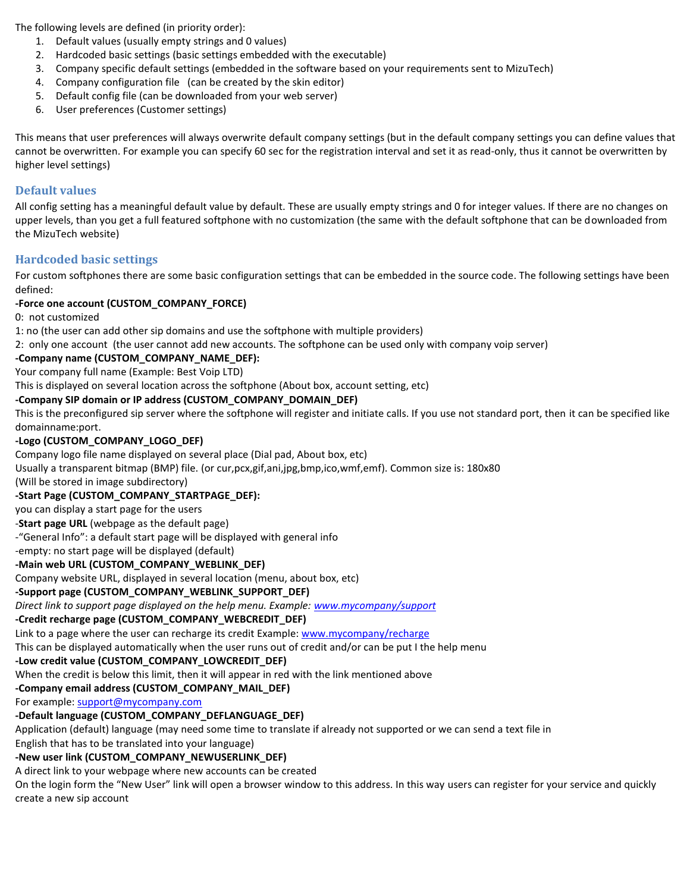The following levels are defined (in priority order):

- 1. Default values (usually empty strings and 0 values)
- 2. Hardcoded basic settings (basic settings embedded with the executable)
- 3. Company specific default settings (embedded in the software based on your requirements sent to MizuTech)
- 4. Company configuration file (can be created by the skin editor)
- 5. Default config file (can be downloaded from your web server)
- 6. User preferences (Customer settings)

This means that user preferences will always overwrite default company settings (but in the default company settings you can define values that cannot be overwritten. For example you can specify 60 sec for the registration interval and set it as read-only, thus it cannot be overwritten by higher level settings)

## **Default values**

All config setting has a meaningful default value by default. These are usually empty strings and 0 for integer values. If there are no changes on upper levels, than you get a full featured softphone with no customization (the same with the default softphone that can be downloaded from the MizuTech website)

## **Hardcoded basic settings**

For custom softphones there are some basic configuration settings that can be embedded in the source code. The following settings have been defined:

## **-Force one account (CUSTOM\_COMPANY\_FORCE)**

0: not customized

1: no (the user can add other sip domains and use the softphone with multiple providers)

2: only one account (the user cannot add new accounts. The softphone can be used only with company voip server)

## **-Company name (CUSTOM\_COMPANY\_NAME\_DEF):**

Your company full name (Example: Best Voip LTD)

This is displayed on several location across the softphone (About box, account setting, etc)

### **-Company SIP domain or IP address (CUSTOM\_COMPANY\_DOMAIN\_DEF)**

This is the preconfigured sip server where the softphone will register and initiate calls. If you use not standard port, then it can be specified like domainname:port.

### **-Logo (CUSTOM\_COMPANY\_LOGO\_DEF)**

Company logo file name displayed on several place (Dial pad, About box, etc)

Usually a transparent bitmap (BMP) file. (or cur,pcx,gif,ani,jpg,bmp,ico,wmf,emf). Common size is: 180x80

(Will be stored in image subdirectory)

### **-Start Page (CUSTOM\_COMPANY\_STARTPAGE\_DEF):**

you can display a start page for the users

-**Start page URL** (webpage as the default page)

-"General Info": a default start page will be displayed with general info

-empty: no start page will be displayed (default)

### **-Main web URL (CUSTOM\_COMPANY\_WEBLINK\_DEF)**

Company website URL, displayed in several location (menu, about box, etc)

### **-Support page (CUSTOM\_COMPANY\_WEBLINK\_SUPPORT\_DEF)**

*Direct link to support page displayed on the help menu. Example[: www.mycompany/support](http://www.mycompany/support)*

# **-Credit recharge page (CUSTOM\_COMPANY\_WEBCREDIT\_DEF)**

Link to a page where the user can recharge its credit Example[: www.mycompany/recharge](http://www.mycompany/recharge)

This can be displayed automatically when the user runs out of credit and/or can be put I the help menu

## **-Low credit value (CUSTOM\_COMPANY\_LOWCREDIT\_DEF)**

When the credit is below this limit, then it will appear in red with the link mentioned above

## **-Company email address (CUSTOM\_COMPANY\_MAIL\_DEF)**

For example[: support@mycompany.com](mailto:support@mycompany.com)

# **-Default language (CUSTOM\_COMPANY\_DEFLANGUAGE\_DEF)**

Application (default) language (may need some time to translate if already not supported or we can send a text file in

English that has to be translated into your language)

# **-New user link (CUSTOM\_COMPANY\_NEWUSERLINK\_DEF)**

A direct link to your webpage where new accounts can be created

On the login form the "New User" link will open a browser window to this address. In this way users can register for your service and quickly create a new sip account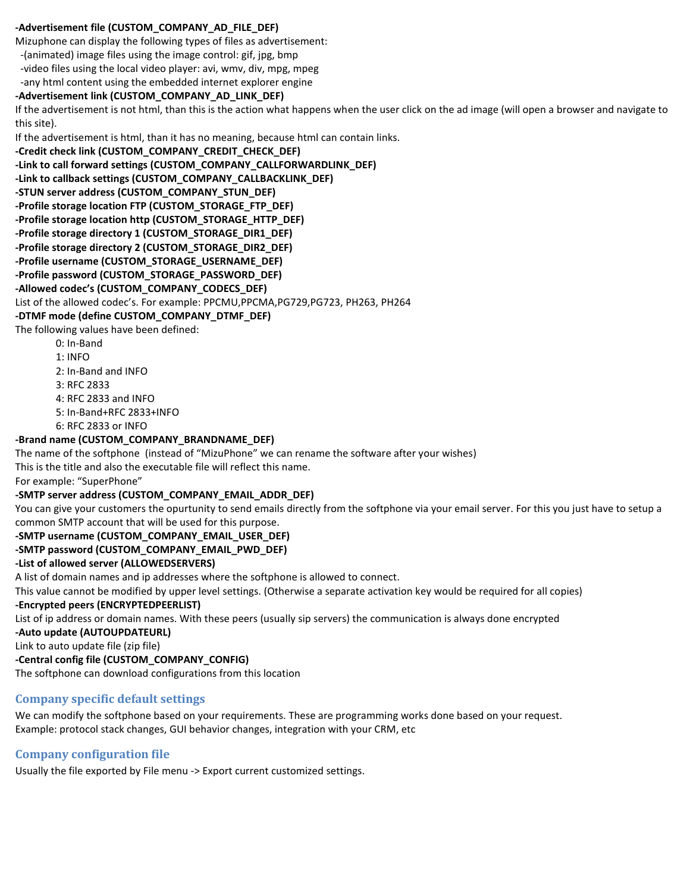#### **-Advertisement file (CUSTOM\_COMPANY\_AD\_FILE\_DEF)**

Mizuphone can display the following types of files as advertisement:

-(animated) image files using the image control: gif, jpg, bmp

 -video files using the local video player: avi, wmv, div, mpg, mpeg -any html content using the embedded internet explorer engine

## **-Advertisement link (CUSTOM\_COMPANY\_AD\_LINK\_DEF)**

If the advertisement is not html, than this is the action what happens when the user click on the ad image (will open a browser and navigate to this site).

If the advertisement is html, than it has no meaning, because html can contain links.

```
-Credit check link (CUSTOM_COMPANY_CREDIT_CHECK_DEF)
-Link to call forward settings (CUSTOM_COMPANY_CALLFORWARDLINK_DEF)
-Link to callback settings (CUSTOM_COMPANY_CALLBACKLINK_DEF)
-STUN server address (CUSTOM_COMPANY_STUN_DEF)
-Profile storage location FTP (CUSTOM_STORAGE_FTP_DEF)
-Profile storage location http (CUSTOM_STORAGE_HTTP_DEF)
-Profile storage directory 1 (CUSTOM_STORAGE_DIR1_DEF)
-Profile storage directory 2 (CUSTOM_STORAGE_DIR2_DEF)
-Profile username (CUSTOM_STORAGE_USERNAME_DEF)
-Profile password (CUSTOM_STORAGE_PASSWORD_DEF)
-Allowed codec's (CUSTOM_COMPANY_CODECS_DEF)
List of the allowed codec's. For example: PPCMU,PPCMA,PG729,PG723, PH263, PH264
-DTMF mode (define CUSTOM_COMPANY_DTMF_DEF)
```
#### The following values have been defined:

- 0: In-Band
- 1: INFO
- 2: In-Band and INFO
- 3: RFC 2833
- 4: RFC 2833 and INFO
- 5: In-Band+RFC 2833+INFO
- 6: RFC 2833 or INFO

### **-Brand name (CUSTOM\_COMPANY\_BRANDNAME\_DEF)**

The name of the softphone (instead of "MizuPhone" we can rename the software after your wishes)

This is the title and also the executable file will reflect this name.

For example: "SuperPhone"

#### **-SMTP server address (CUSTOM\_COMPANY\_EMAIL\_ADDR\_DEF)**

You can give your customers the opurtunity to send emails directly from the softphone via your email server. For this you just have to setup a common SMTP account that will be used for this purpose.

**-SMTP username (CUSTOM\_COMPANY\_EMAIL\_USER\_DEF)**

**-SMTP password (CUSTOM\_COMPANY\_EMAIL\_PWD\_DEF)**

#### **-List of allowed server (ALLOWEDSERVERS)**

A list of domain names and ip addresses where the softphone is allowed to connect.

This value cannot be modified by upper level settings. (Otherwise a separate activation key would be required for all copies)

## **-Encrypted peers (ENCRYPTEDPEERLIST)**

List of ip address or domain names. With these peers (usually sip servers) the communication is always done encrypted

**-Auto update (AUTOUPDATEURL)**

Link to auto update file (zip file)

**-Central config file (CUSTOM\_COMPANY\_CONFIG)**

The softphone can download configurations from this location

# **Company specific default settings**

We can modify the softphone based on your requirements. These are programming works done based on your request. Example: protocol stack changes, GUI behavior changes, integration with your CRM, etc

# **Company configuration file**

Usually the file exported by File menu -> Export current customized settings.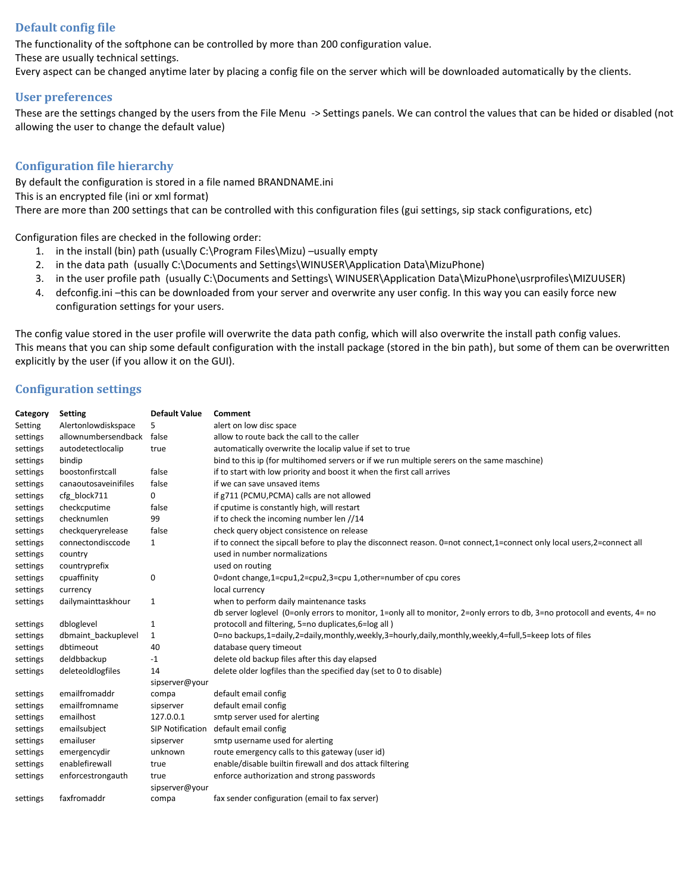## **Default config file**

The functionality of the softphone can be controlled by more than 200 configuration value.

These are usually technical settings.

Every aspect can be changed anytime later by placing a config file on the server which will be downloaded automatically by the clients.

#### **User preferences**

These are the settings changed by the users from the File Menu -> Settings panels. We can control the values that can be hided or disabled (not allowing the user to change the default value)

## **Configuration file hierarchy**

By default the configuration is stored in a file named BRANDNAME.ini This is an encrypted file (ini or xml format) There are more than 200 settings that can be controlled with this configuration files (gui settings, sip stack configurations, etc)

Configuration files are checked in the following order:

- 1. in the install (bin) path (usually C:\Program Files\Mizu) –usually empty
- 2. in the data path (usually C:\Documents and Settings\WINUSER\Application Data\MizuPhone)
- 3. in the user profile path (usually C:\Documents and Settings\ WINUSER\Application Data\MizuPhone\usrprofiles\MIZUUSER)
- 4. defconfig.ini –this can be downloaded from your server and overwrite any user config. In this way you can easily force new configuration settings for your users.

The config value stored in the user profile will overwrite the data path config, which will also overwrite the install path config values. This means that you can ship some default configuration with the install package (stored in the bin path), but some of them can be overwritten explicitly by the user (if you allow it on the GUI).

### **Configuration settings**

| Category | <b>Setting</b>       | <b>Default Value</b>    | Comment                                                                                                                    |
|----------|----------------------|-------------------------|----------------------------------------------------------------------------------------------------------------------------|
| Setting  | Alertonlowdiskspace  | 5                       | alert on low disc space                                                                                                    |
| settings | allownumbersendback  | false                   | allow to route back the call to the caller                                                                                 |
| settings | autodetectlocalip    | true                    | automatically overwrite the localip value if set to true                                                                   |
| settings | bindip               |                         | bind to this ip (for multihomed servers or if we run multiple serers on the same maschine)                                 |
| settings | boostonfirstcall     | false                   | if to start with low priority and boost it when the first call arrives                                                     |
| settings | canaoutosaveinifiles | false                   | if we can save unsaved items                                                                                               |
| settings | cfg_block711         | 0                       | if g711 (PCMU, PCMA) calls are not allowed                                                                                 |
| settings | checkcputime         | false                   | if cputime is constantly high, will restart                                                                                |
| settings | checknumlen          | 99                      | if to check the incoming number len //14                                                                                   |
| settings | checkqueryrelease    | false                   | check query object consistence on release                                                                                  |
| settings | connectondisccode    | $\mathbf{1}$            | if to connect the sipcall before to play the disconnect reason. 0=not connect,1=connect only local users,2=connect all     |
| settings | country              |                         | used in number normalizations                                                                                              |
| settings | countryprefix        |                         | used on routing                                                                                                            |
| settings | cpuaffinity          | 0                       | 0=dont change,1=cpu1,2=cpu2,3=cpu 1,other=number of cpu cores                                                              |
| settings | currency             |                         | local currency                                                                                                             |
| settings | dailymainttaskhour   | 1                       | when to perform daily maintenance tasks                                                                                    |
|          |                      |                         | db server loglevel (0=only errors to monitor, 1=only all to monitor, 2=only errors to db, 3=no protocoll and events, 4= no |
| settings | dbloglevel           | $\mathbf{1}$            | protocoll and filtering, 5=no duplicates, 6=log all)                                                                       |
| settings | dbmaint backuplevel  | 1                       | 0=no backups,1=daily,2=daily,monthly,weekly,3=hourly,daily,monthly,weekly,4=full,5=keep lots of files                      |
| settings | dbtimeout            | 40                      | database query timeout                                                                                                     |
| settings | deldbbackup          | $-1$                    | delete old backup files after this day elapsed                                                                             |
| settings | deleteoldlogfiles    | 14                      | delete older logfiles than the specified day (set to 0 to disable)                                                         |
|          |                      | sipserver@your          |                                                                                                                            |
| settings | emailfromaddr        | compa                   | default email config                                                                                                       |
| settings | emailfromname        | sipserver               | default email config                                                                                                       |
| settings | emailhost            | 127.0.0.1               | smtp server used for alerting                                                                                              |
| settings | emailsubject         | <b>SIP Notification</b> | default email config                                                                                                       |
| settings | emailuser            | sipserver               | smtp username used for alerting                                                                                            |
| settings | emergencydir         | unknown                 | route emergency calls to this gateway (user id)                                                                            |
| settings | enablefirewall       | true                    | enable/disable builtin firewall and dos attack filtering                                                                   |
| settings | enforcestrongauth    | true                    | enforce authorization and strong passwords                                                                                 |
|          |                      | sipserver@your          |                                                                                                                            |
| settings | faxfromaddr          | compa                   | fax sender configuration (email to fax server)                                                                             |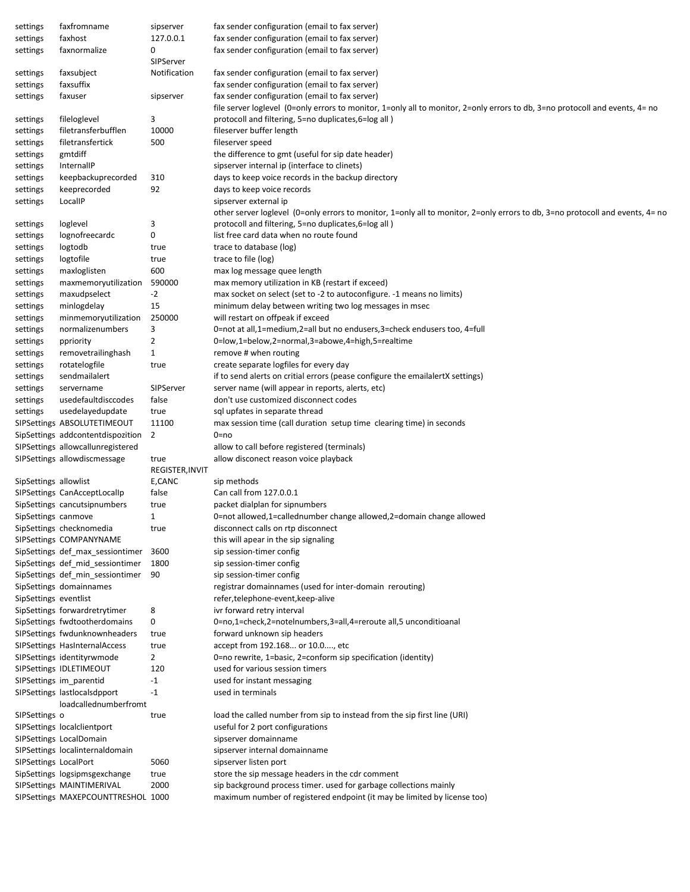| settings              | faxfromname                        | sipserver       | fax sender configuration (email to fax server)                                                                                |
|-----------------------|------------------------------------|-----------------|-------------------------------------------------------------------------------------------------------------------------------|
| settings              | faxhost                            | 127.0.0.1       | fax sender configuration (email to fax server)                                                                                |
| settings              | faxnormalize                       | 0               | fax sender configuration (email to fax server)                                                                                |
|                       |                                    | SIPServer       |                                                                                                                               |
| settings              | faxsubject                         | Notification    | fax sender configuration (email to fax server)                                                                                |
| settings              | faxsuffix                          |                 | fax sender configuration (email to fax server)                                                                                |
| settings              | faxuser                            | sipserver       | fax sender configuration (email to fax server)                                                                                |
|                       |                                    |                 | file server loglevel (0=only errors to monitor, 1=only all to monitor, 2=only errors to db, 3=no protocoll and events, 4= no  |
|                       |                                    | 3               | protocoll and filtering, 5=no duplicates,6=log all)                                                                           |
| settings              | fileloglevel                       |                 |                                                                                                                               |
| settings              | filetransferbufflen                | 10000           | fileserver buffer length                                                                                                      |
| settings              | filetransfertick                   | 500             | fileserver speed                                                                                                              |
| settings              | gmtdiff                            |                 | the difference to gmt (useful for sip date header)                                                                            |
| settings              | InternallP                         |                 | sipserver internal ip (interface to clinets)                                                                                  |
| settings              | keepbackuprecorded                 | 310             | days to keep voice records in the backup directory                                                                            |
| settings              | keeprecorded                       | 92              | days to keep voice records                                                                                                    |
| settings              | LocalIP                            |                 | sipserver external ip                                                                                                         |
|                       |                                    |                 | other server loglevel (0=only errors to monitor, 1=only all to monitor, 2=only errors to db, 3=no protocoll and events, 4= no |
| settings              | loglevel                           | 3               | protocoll and filtering, 5=no duplicates,6=log all)                                                                           |
| settings              | lognofreecardc                     | 0               | list free card data when no route found                                                                                       |
| settings              | logtodb                            | true            | trace to database (log)                                                                                                       |
| settings              | logtofile                          | true            | trace to file (log)                                                                                                           |
| settings              | maxloglisten                       | 600             | max log message quee length                                                                                                   |
|                       |                                    |                 |                                                                                                                               |
| settings              | maxmemoryutilization               | 590000          | max memory utilization in KB (restart if exceed)                                                                              |
| settings              | maxudpselect                       | $-2$            | max socket on select (set to -2 to autoconfigure. -1 means no limits)                                                         |
| settings              | minlogdelay                        | 15              | minimum delay between writing two log messages in msec                                                                        |
| settings              | minmemoryutilization               | 250000          | will restart on offpeak if exceed                                                                                             |
| settings              | normalizenumbers                   | 3               | 0=not at all,1=medium,2=all but no endusers,3=check endusers too, 4=full                                                      |
| settings              | ppriority                          | 2               | 0=low,1=below,2=normal,3=abowe,4=high,5=realtime                                                                              |
| settings              | removetrailinghash                 | $\mathbf{1}$    | remove # when routing                                                                                                         |
| settings              | rotatelogfile                      | true            | create separate logfiles for every day                                                                                        |
| settings              | sendmailalert                      |                 | if to send alerts on critial errors (pease configure the emailalertX settings)                                                |
| settings              | servername                         | SIPServer       | server name (will appear in reports, alerts, etc)                                                                             |
|                       | usedefaultdisccodes                | false           | don't use customized disconnect codes                                                                                         |
| settings              |                                    |                 |                                                                                                                               |
| settings              | usedelayedupdate                   | true            | sql upfates in separate thread                                                                                                |
|                       | SIPSettings ABSOLUTETIMEOUT        | 11100           | max session time (call duration setup time clearing time) in seconds                                                          |
|                       | SipSettings addcontentdispozition  | $\overline{2}$  | 0=no                                                                                                                          |
|                       | SIPSettings allowcallunregistered  |                 | allow to call before registered (terminals)                                                                                   |
|                       | SIPSettings allowdiscmessage       | true            | allow disconect reason voice playback                                                                                         |
|                       |                                    | REGISTER, INVIT |                                                                                                                               |
| SipSettings allowlist |                                    | E,CANC          | sip methods                                                                                                                   |
|                       | SIPSettings CanAcceptLocalIp       | false           | Can call from 127.0.0.1                                                                                                       |
|                       | SipSettings cancutsipnumbers       | true            | packet dialplan for sipnumbers                                                                                                |
| SipSettings canmove   |                                    | $\mathbf{1}$    | 0=not allowed,1=callednumber change allowed,2=domain change allowed                                                           |
|                       | SipSettings checknomedia           | true            | disconnect calls on rtp disconnect                                                                                            |
|                       | SIPSettings COMPANYNAME            |                 | this will apear in the sip signaling                                                                                          |
|                       | SipSettings def_max_sessiontimer   | 3600            | sip session-timer config                                                                                                      |
|                       |                                    |                 |                                                                                                                               |
|                       | SipSettings def_mid_sessiontimer   | 1800            | sip session-timer config                                                                                                      |
|                       | SipSettings def min sessiontimer   | 90              | sip session-timer config                                                                                                      |
|                       | SipSettings domainnames            |                 | registrar domainnames (used for inter-domain rerouting)                                                                       |
| SipSettings eventlist |                                    |                 | refer, telephone-event, keep-alive                                                                                            |
|                       | SipSettings forwardretrytimer      | 8               | ivr forward retry interval                                                                                                    |
|                       | SipSettings fwdtootherdomains      | 0               | 0=no,1=check,2=notelnumbers,3=all,4=reroute all,5 unconditioanal                                                              |
|                       | SIPSettings fwdunknownheaders      | true            | forward unknown sip headers                                                                                                   |
|                       | SIPSettings HasInternalAccess      | true            | accept from 192.168 or 10.0, etc                                                                                              |
|                       | SIPSettings identityrwmode         | $\overline{2}$  | 0=no rewrite, 1=basic, 2=conform sip specification (identity)                                                                 |
|                       | SIPSettings IDLETIMEOUT            | 120             | used for various session timers                                                                                               |
|                       |                                    |                 |                                                                                                                               |
|                       | SIPSettings im_parentid            | -1              | used for instant messaging                                                                                                    |
|                       | SIPSettings lastlocalsdpport       | $-1$            | used in terminals                                                                                                             |
|                       | loadcallednumberfromt              |                 |                                                                                                                               |
| SIPSettings o         |                                    | true            | load the called number from sip to instead from the sip first line (URI)                                                      |
|                       | SIPSettings localclientport        |                 | useful for 2 port configurations                                                                                              |
|                       | SIPSettings LocalDomain            |                 | sipserver domainname                                                                                                          |
|                       | SIPSettings localinternaldomain    |                 | sipserver internal domainname                                                                                                 |
| SIPSettings LocalPort |                                    | 5060            | sipserver listen port                                                                                                         |
|                       | SipSettings logsipmsgexchange      | true            | store the sip message headers in the cdr comment                                                                              |
|                       | SIPSettings MAINTIMERIVAL          | 2000            | sip background process timer. used for garbage collections mainly                                                             |
|                       | SIPSettings MAXEPCOUNTTRESHOL 1000 |                 | maximum number of registered endpoint (it may be limited by license too)                                                      |
|                       |                                    |                 |                                                                                                                               |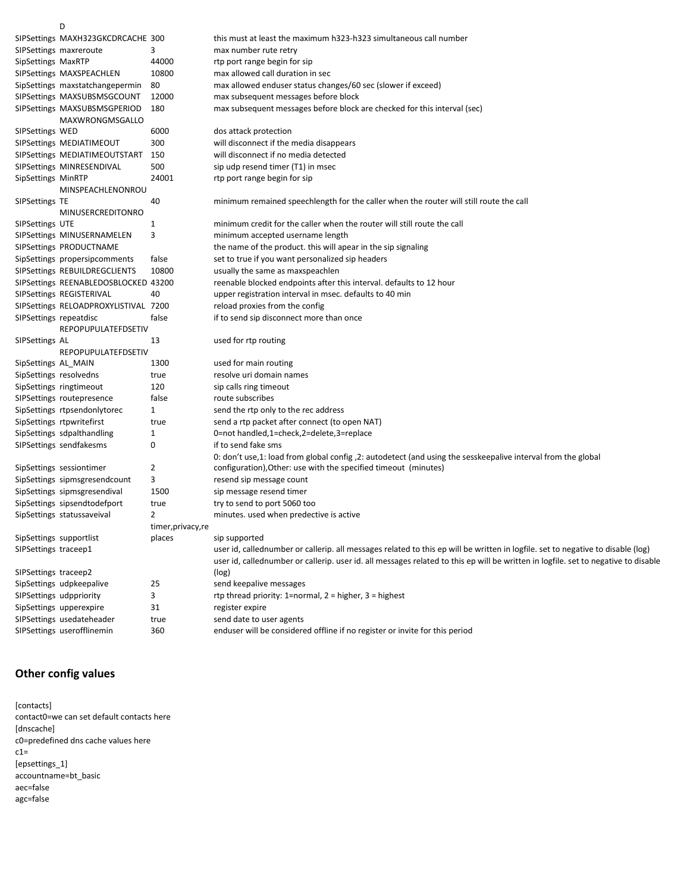|                        | D                                    |                    |                                                                                                                                    |
|------------------------|--------------------------------------|--------------------|------------------------------------------------------------------------------------------------------------------------------------|
|                        | SIPSettings MAXH323GKCDRCACHE 300    |                    | this must at least the maximum h323-h323 simultaneous call number                                                                  |
|                        | SIPSettings maxreroute               | 3                  | max number rute retry                                                                                                              |
| SipSettings MaxRTP     |                                      | 44000              | rtp port range begin for sip                                                                                                       |
|                        | SIPSettings MAXSPEACHLEN             | 10800              | max allowed call duration in sec                                                                                                   |
|                        | SipSettings maxstatchangepermin      | 80                 | max allowed enduser status changes/60 sec (slower if exceed)                                                                       |
|                        | SIPSettings MAXSUBSMSGCOUNT          | 12000              | max subsequent messages before block                                                                                               |
|                        | SIPSettings MAXSUBSMSGPERIOD         | 180                | max subsequent messages before block are checked for this interval (sec)                                                           |
|                        | MAXWRONGMSGALLO                      |                    |                                                                                                                                    |
| SIPSettings WED        |                                      | 6000               | dos attack protection                                                                                                              |
|                        | SIPSettings MEDIATIMEOUT             | 300                | will disconnect if the media disappears                                                                                            |
|                        | SIPSettings MEDIATIMEOUTSTART        | 150                | will disconnect if no media detected                                                                                               |
|                        | SIPSettings MINRESENDIVAL            | 500                | sip udp resend timer (T1) in msec                                                                                                  |
| SipSettings MinRTP     |                                      | 24001              | rtp port range begin for sip                                                                                                       |
|                        | MINSPEACHLENONROU                    |                    |                                                                                                                                    |
| SIPSettings TE         |                                      | 40                 | minimum remained speechlength for the caller when the router will still route the call                                             |
|                        | MINUSERCREDITONRO                    |                    |                                                                                                                                    |
| SIPSettings UTE        |                                      | 1                  | minimum credit for the caller when the router will still route the call                                                            |
|                        | SIPSettings MINUSERNAMELEN           | 3                  | minimum accepted username length                                                                                                   |
|                        | SIPSettings PRODUCTNAME              |                    | the name of the product. this will apear in the sip signaling                                                                      |
|                        | SipSettings propersipcomments        | false              | set to true if you want personalized sip headers                                                                                   |
|                        | SIPSettings REBUILDREGCLIENTS        | 10800              | usually the same as maxspeachlen                                                                                                   |
|                        | SIPSettings REENABLEDOSBLOCKED 43200 |                    | reenable blocked endpoints after this interval. defaults to 12 hour                                                                |
|                        | SIPSettings REGISTERIVAL             | 40                 | upper registration interval in msec. defaults to 40 min                                                                            |
|                        | SIPSettings RELOADPROXYLISTIVAL 7200 |                    | reload proxies from the config                                                                                                     |
| SIPSettings repeatdisc |                                      | false              | if to send sip disconnect more than once                                                                                           |
|                        | <b>REPOPUPULATEFDSETIV</b>           |                    |                                                                                                                                    |
| SIPSettings AL         |                                      | 13                 | used for rtp routing                                                                                                               |
|                        | REPOPUPULATEFDSETIV                  |                    |                                                                                                                                    |
| SipSettings AL_MAIN    |                                      | 1300               | used for main routing                                                                                                              |
|                        | SipSettings resolvedns               | true               | resolve uri domain names                                                                                                           |
|                        | SipSettings ringtimeout              | 120                | sip calls ring timeout                                                                                                             |
|                        | SIPSettings routepresence            | false              | route subscribes                                                                                                                   |
|                        | SipSettings rtpsendonlytorec         | $\mathbf{1}$       | send the rtp only to the rec address                                                                                               |
|                        | SipSettings rtpwritefirst            | true               | send a rtp packet after connect (to open NAT)                                                                                      |
|                        | SipSettings sdpalthandling           | 1                  | 0=not handled,1=check,2=delete,3=replace                                                                                           |
|                        | SIPSettings sendfakesms              | 0                  | if to send fake sms                                                                                                                |
|                        |                                      |                    | 0: don't use, 1: load from global config , 2: autodetect (and using the sesskeepalive interval from the global                     |
|                        | SipSettings sessiontimer             | 2                  | configuration), Other: use with the specified timeout (minutes)                                                                    |
|                        | SipSettings sipmsgresendcount        | 3                  | resend sip message count                                                                                                           |
|                        | SipSettings sipmsgresendival         | 1500               | sip message resend timer                                                                                                           |
|                        | SipSettings sipsendtodefport         | true               | try to send to port 5060 too                                                                                                       |
|                        | SipSettings statussaveival           | 2                  | minutes. used when predective is active                                                                                            |
|                        |                                      | timer, privacy, re |                                                                                                                                    |
|                        | SipSettings supportlist              | places             | sip supported                                                                                                                      |
| SIPSettings traceep1   |                                      |                    | user id, callednumber or callerip. all messages related to this ep will be written in logfile. set to negative to disable (log)    |
|                        |                                      |                    | user id, callednumber or callerip. user id. all messages related to this ep will be written in logfile. set to negative to disable |
| SIPSettings traceep2   |                                      |                    | (log)                                                                                                                              |
|                        | SipSettings udpkeepalive             | 25                 | send keepalive messages                                                                                                            |
|                        | SIPSettings udppriority              | 3                  | rtp thread priority: 1=normal, $2 =$ higher, $3 =$ highest                                                                         |
|                        | SipSettings upperexpire              | 31                 | register expire                                                                                                                    |
|                        | SIPSettings usedateheader            | true               | send date to user agents                                                                                                           |
|                        |                                      |                    |                                                                                                                                    |

SIPSettings userofflinemin 360 enduser will be considered offline if no register or invite for this period

## **Other config values**

[contacts] contact0=we can set default contacts here [dnscache] c0=predefined dns cache values here  $c1=$ [epsettings\_1] accountname=bt\_basic aec=false agc=false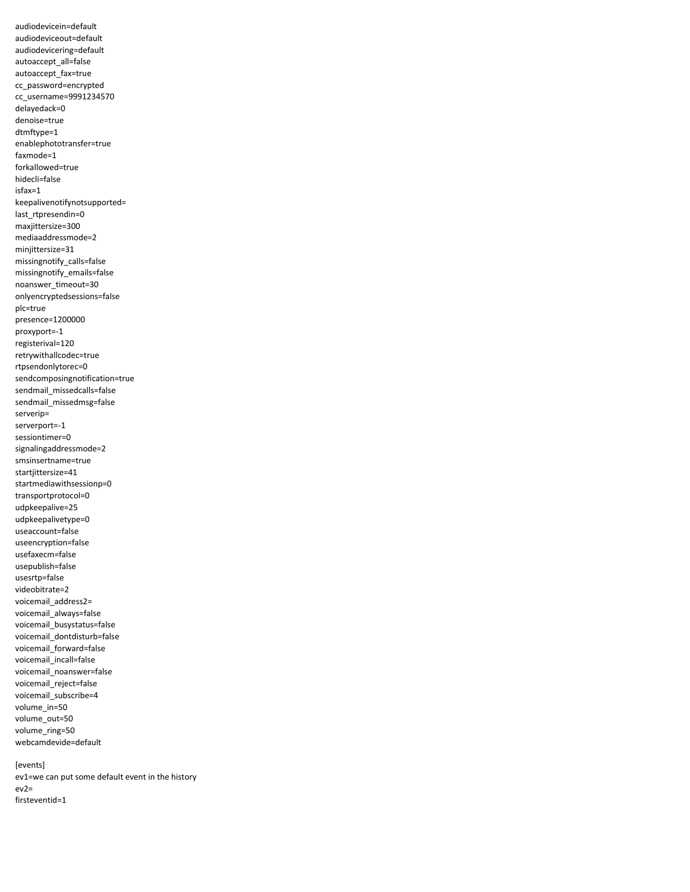audiodevicein=default audiodeviceout=default audiodevicering=default autoaccept\_all=false autoaccept\_fax=true cc\_password=encrypted cc\_username=9991234570 delayedack=0 denoise=true dtmftype=1 enablephototransfer=true faxmode=1 forkallowed=true hidecli=false isfax=1 keepalivenotifynotsupported= last\_rtpresendin=0 maxjittersize=300 mediaaddressmode=2 minjittersize=31 missingnotify\_calls=false missingnotify\_emails=false noanswer\_timeout=30 onlyencryptedsessions=false plc=true presence=1200000 proxyport=-1 registerival=120 retrywithallcodec=true rtpsendonlytorec=0 sendcomposingnotification=true sendmail\_missedcalls=false sendmail\_missedmsg=false serverip= serverport=-1 sessiontimer=0 signalingaddressmode=2 smsinsertname=true startjittersize=41 startmediawithsessionp=0 transportprotocol=0 udpkeepalive=25 udpkeepalivetype=0 useaccount=false useencryption=false usefaxecm=false usepublish=false usesrtp=false videobitrate=2 voicemail\_address2= voicemail\_always=false voicemail\_busystatus=false voicemail\_dontdisturb=false voicemail\_forward=false voicemail incall=false voicemail\_noanswer=false voicemail\_reject=false voicemail\_subscribe=4 volume\_in=50 volume\_out=50 volume\_ring=50 webcamdevide=default

[events] ev1=we can put some default event in the history ev2= firsteventid=1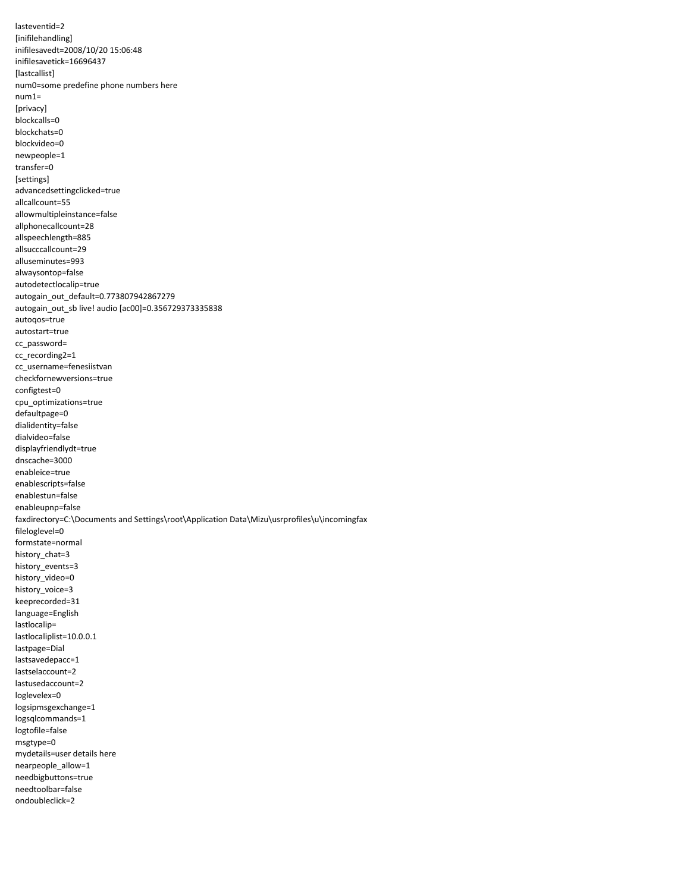lasteventid=2 [inifilehandling] inifilesavedt=2008/10/20 15:06:48 inifilesavetick=16696437 [lastcallist] num0=some predefine phone numbers here num1= [privacy] blockcalls=0 blockchats=0 blockvideo=0 newpeople=1 transfer=0 [settings] advancedsettingclicked=true allcallcount=55 allowmultipleinstance=false allphonecallcount=28 allspeechlength=885 allsucccallcount=29 alluseminutes=993 alwaysontop=false autodetectlocalip=true autogain\_out\_default=0.773807942867279 autogain\_out\_sb live! audio [ac00]=0.356729373335838 autoqos=true autostart=true cc\_password= cc\_recording2=1 cc\_username=fenesiistvan checkfornewversions=true configtest=0 cpu\_optimizations=true defaultpage=0 dialidentity=false dialvideo=false displayfriendlydt=true dnscache=3000 enableice=true enablescripts=false enablestun=false enableupnp=false faxdirectory=C:\Documents and Settings\root\Application Data\Mizu\usrprofiles\u\incomingfax fileloglevel=0 formstate=normal history\_chat=3 history\_events=3 history\_video=0 history\_voice=3 keeprecorded=31 language=English lastlocalip= lastlocaliplist=10.0.0.1 lastpage=Dial lastsavedepacc=1 lastselaccount=2 lastusedaccount=2 loglevelex=0 logsipmsgexchange=1 logsqlcommands=1 logtofile=false msgtype=0 mydetails=user details here nearpeople\_allow=1 needbigbuttons=true needtoolbar=false ondoubleclick=2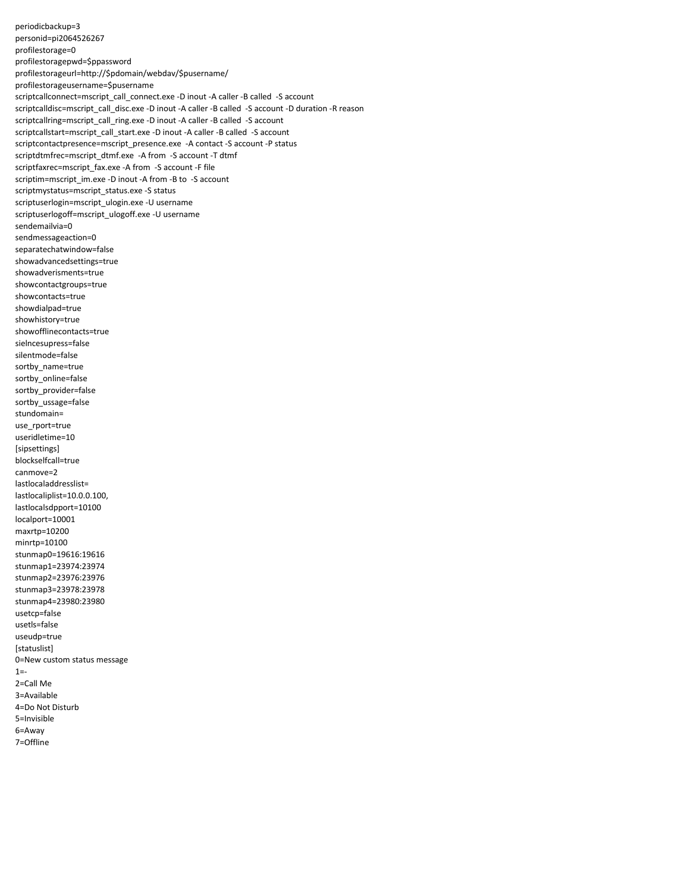periodicbackup=3 personid=pi2064526267 profilestorage=0 profilestoragepwd=\$ppassword profilestorageurl=http://\$pdomain/webdav/\$pusername/ profilestorageusername=\$pusername scriptcallconnect=mscript\_call\_connect.exe -D inout -A caller -B called -S account scriptcalldisc=mscript\_call\_disc.exe -D inout -A caller -B called -S account -D duration -R reason scriptcallring=mscript\_call\_ring.exe -D inout -A caller -B called -S account scriptcallstart=mscript\_call\_start.exe -D inout -A caller -B called -S account scriptcontactpresence=mscript\_presence.exe -A contact -S account -P status scriptdtmfrec=mscript\_dtmf.exe -A from -S account -T dtmf scriptfaxrec=mscript\_fax.exe -A from -S account -F file scriptim=mscript\_im.exe -D inout -A from -B to -S account scriptmystatus=mscript\_status.exe -S status scriptuserlogin=mscript\_ulogin.exe -U username scriptuserlogoff=mscript\_ulogoff.exe -U username sendemailvia=0 sendmessageaction=0 separatechatwindow=false showadvancedsettings=true showadverisments=true showcontactgroups=true showcontacts=true showdialpad=true showhistory=true showofflinecontacts=true sielncesupress=false silentmode=false sortby\_name=true sortby\_online=false sortby\_provider=false sortby\_ussage=false stundomain= use rport=true useridletime=10 [sipsettings] blockselfcall=true canmove=2 lastlocaladdresslist= lastlocaliplist=10.0.0.100, lastlocalsdpport=10100 localport=10001 maxrtp=10200 minrtp=10100 stunmap0=19616:19616 stunmap1=23974:23974 stunmap2=23976:23976 stunmap3=23978:23978 stunmap4=23980:23980 usetcp=false usetls=false useudp=true [statuslist] 0=New custom status message  $1 = -$ 2=Call Me 3=Available 4=Do Not Disturb 5=Invisible 6=Away 7=Offline